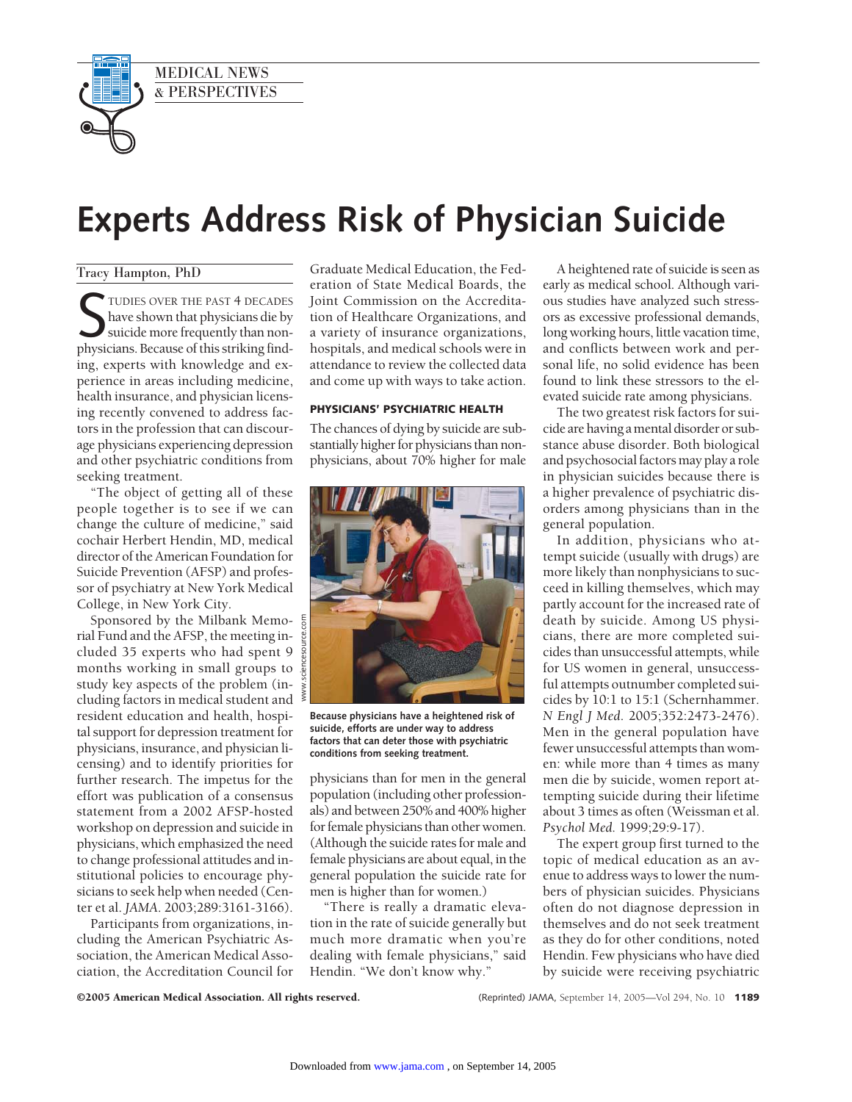

# **Experts Address Risk of Physician Suicide**

# Tracy Hampton, PhD

STUDIES OVER THE PAST 4 DECADES<br>have shown that physicians die by<br>suicide more frequently than non-<br>physicians. Because of this striking find-TUDIES OVER THE PAST 4 DECADES have shown that physicians die by suicide more frequently than noning, experts with knowledge and experience in areas including medicine, health insurance, and physician licensing recently convened to address factors in the profession that can discourage physicians experiencing depression and other psychiatric conditions from seeking treatment.

"The object of getting all of these people together is to see if we can change the culture of medicine," said cochair Herbert Hendin, MD, medical director of the American Foundation for Suicide Prevention (AFSP) and professor of psychiatry at New York Medical College, in New York City.

Sponsored by the Milbank Memorial Fund and the AFSP, the meeting included 35 experts who had spent 9 months working in small groups to study key aspects of the problem (including factors in medical student and resident education and health, hospital support for depression treatment for physicians, insurance, and physician licensing) and to identify priorities for further research. The impetus for the effort was publication of a consensus statement from a 2002 AFSP-hosted workshop on depression and suicide in physicians, which emphasized the need to change professional attitudes and institutional policies to encourage physicians to seek help when needed (Center et al. *JAMA*. 2003;289:3161-3166).

Participants from organizations, including the American Psychiatric Association, the American Medical Association, the Accreditation Council for

Graduate Medical Education, the Federation of State Medical Boards, the Joint Commission on the Accreditation of Healthcare Organizations, and a variety of insurance organizations, hospitals, and medical schools were in attendance to review the collected data and come up with ways to take action.

## **PHYSICIANS' PSYCHIATRIC HEALTH**

The chances of dying by suicide are substantially higher for physicians than nonphysicians, about 70% higher for male



**Because physicians have a heightened risk of suicide, efforts are under way to address factors that can deter those with psychiatric conditions from seeking treatment.**

physicians than for men in the general population (including other professionals) and between 250% and 400% higher for female physicians than other women. (Although the suicide rates for male and female physicians are about equal, in the general population the suicide rate for men is higher than for women.)

"There is really a dramatic elevation in the rate of suicide generally but much more dramatic when you're dealing with female physicians," said Hendin. "We don't know why."

A heightened rate of suicide is seen as early as medical school. Although various studies have analyzed such stressors as excessive professional demands, long working hours, little vacation time, and conflicts between work and personal life, no solid evidence has been found to link these stressors to the elevated suicide rate among physicians.

The two greatest risk factors for suicide are having a mental disorder or substance abuse disorder. Both biological and psychosocial factors may play a role in physician suicides because there is a higher prevalence of psychiatric disorders among physicians than in the general population.

In addition, physicians who attempt suicide (usually with drugs) are more likely than nonphysicians to succeed in killing themselves, which may partly account for the increased rate of death by suicide. Among US physicians, there are more completed suicides than unsuccessful attempts, while for US women in general, unsuccessful attempts outnumber completed suicides by 10:1 to 15:1 (Schernhammer. *N Engl J Med*. 2005;352:2473-2476). Men in the general population have fewer unsuccessful attempts than women: while more than 4 times as many men die by suicide, women report attempting suicide during their lifetime about 3 times as often (Weissman et al. *Psychol Med.* 1999;29:9-17).

The expert group first turned to the topic of medical education as an avenue to address ways to lower the numbers of physician suicides. Physicians often do not diagnose depression in themselves and do not seek treatment as they do for other conditions, noted Hendin. Few physicians who have died by suicide were receiving psychiatric

©2005 American Medical Association. All rights reserved. (Reprinted) JAMA, September 14, 2005—Vol 294, No. 10 **1189**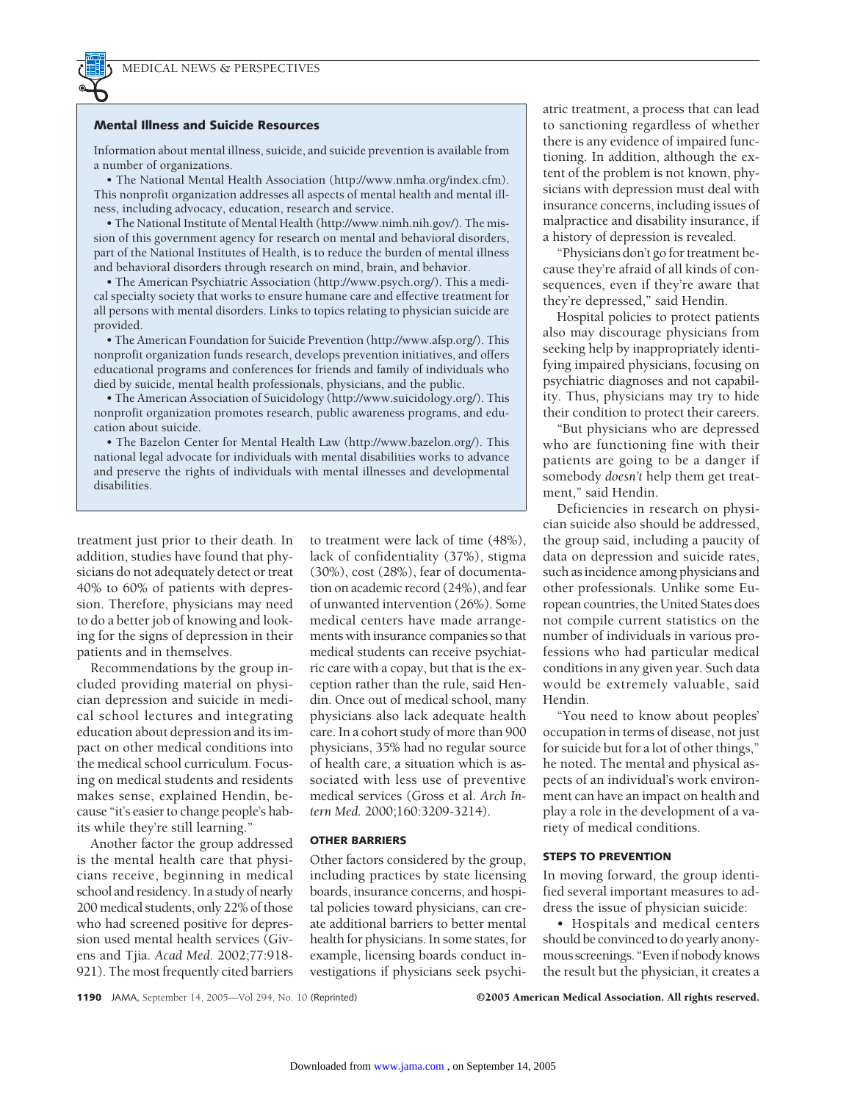#### **Mental Illness and Suicide Resources**

Information about mental illness, suicide, and suicide prevention is available from a number of organizations.

• The National Mental Health Association (http://www.nmha.org/index.cfm). This nonprofit organization addresses all aspects of mental health and mental illness, including advocacy, education, research and service.

• The National Institute of Mental Health (http://www.nimh.nih.gov/). The mission of this government agency for research on mental and behavioral disorders, part of the National Institutes of Health, is to reduce the burden of mental illness and behavioral disorders through research on mind, brain, and behavior.

• The American Psychiatric Association (http://www.psych.org/). This a medical specialty society that works to ensure humane care and effective treatment for all persons with mental disorders. Links to topics relating to physician suicide are provided.

• The American Foundation for Suicide Prevention (http://www.afsp.org/). This nonprofit organization funds research, develops prevention initiatives, and offers educational programs and conferences for friends and family of individuals who died by suicide, mental health professionals, physicians, and the public.

• The American Association of Suicidology (http://www.suicidology.org/). This nonprofit organization promotes research, public awareness programs, and education about suicide.

• The Bazelon Center for Mental Health Law (http://www.bazelon.org/). This national legal advocate for individuals with mental disabilities works to advance and preserve the rights of individuals with mental illnesses and developmental disabilities.

treatment just prior to their death. In addition, studies have found that physicians do not adequately detect or treat 40% to 60% of patients with depression. Therefore, physicians may need to do a better job of knowing and looking for the signs of depression in their patients and in themselves.

Recommendations by the group included providing material on physician depression and suicide in medical school lectures and integrating education about depression and its impact on other medical conditions into the medical school curriculum. Focusing on medical students and residents makes sense, explained Hendin, because "it's easier to change people's habits while they're still learning."

Another factor the group addressed is the mental health care that physicians receive, beginning in medical school and residency. In a study of nearly 200 medical students, only 22% of those who had screened positive for depression used mental health services (Givens and Tjia. *Acad Med*. 2002;77:918- 921). The most frequently cited barriers

to treatment were lack of time (48%), lack of confidentiality (37%), stigma (30%), cost (28%), fear of documentation on academic record (24%), and fear of unwanted intervention (26%). Some medical centers have made arrangements with insurance companies so that medical students can receive psychiatric care with a copay, but that is the exception rather than the rule, said Hendin. Once out of medical school, many physicians also lack adequate health care. In a cohort study of more than 900 physicians, 35% had no regular source of health care, a situation which is associated with less use of preventive medical services (Gross et al. *Arch Intern Med.* 2000;160:3209-3214).

### **OTHER BARRIERS**

Other factors considered by the group, including practices by state licensing boards, insurance concerns, and hospital policies toward physicians, can create additional barriers to better mental health for physicians. In some states, for example, licensing boards conduct investigations if physicians seek psychi-

atric treatment, a process that can lead to sanctioning regardless of whether there is any evidence of impaired functioning. In addition, although the extent of the problem is not known, physicians with depression must deal with insurance concerns, including issues of malpractice and disability insurance, if a history of depression is revealed.

"Physicians don't go for treatment because they're afraid of all kinds of consequences, even if they're aware that they're depressed," said Hendin.

Hospital policies to protect patients also may discourage physicians from seeking help by inappropriately identifying impaired physicians, focusing on psychiatric diagnoses and not capability. Thus, physicians may try to hide their condition to protect their careers.

"But physicians who are depressed who are functioning fine with their patients are going to be a danger if somebody *doesn't* help them get treatment," said Hendin.

Deficiencies in research on physician suicide also should be addressed, the group said, including a paucity of data on depression and suicide rates, such as incidence among physicians and other professionals. Unlike some European countries, the United States does not compile current statistics on the number of individuals in various professions who had particular medical conditions in any given year. Such data would be extremely valuable, said Hendin.

"You need to know about peoples' occupation in terms of disease, not just for suicide but for a lot of other things," he noted. The mental and physical aspects of an individual's work environment can have an impact on health and play a role in the development of a variety of medical conditions.

#### **STEPS TO PREVENTION**

In moving forward, the group identified several important measures to address the issue of physician suicide:

• Hospitals and medical centers should be convinced to do yearly anonymousscreenings."Evenifnobodyknows the result but the physician, it creates a

**1190** JAMA, September 14, 2005—Vol 294, No. 10 (Reprinted) ©2005 American Medical Association. All rights reserved.